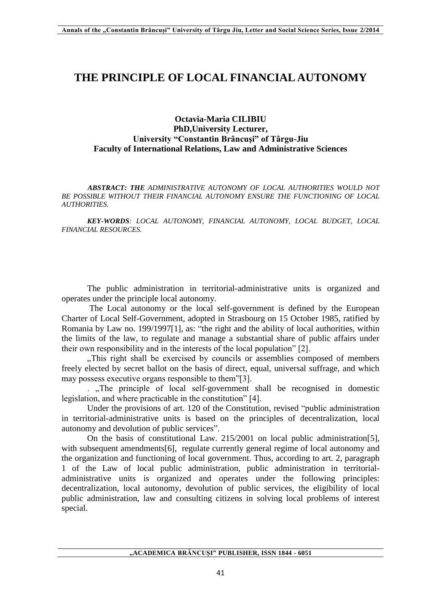## **THE PRINCIPLE OF LOCAL FINANCIAL AUTONOMY**

## **Octavia-Maria CILIBIU PhD,University Lecturer, University "Constantin Brâncuşi" of Târgu-Jiu Faculty of International Relations, Law and Administrative Sciences**

*ABSTRACT: THE ADMINISTRATIVE AUTONOMY OF LOCAL AUTHORITIES WOULD NOT BE POSSIBLE WITHOUT THEIR FINANCIAL AUTONOMY ENSURE THE FUNCTIONING OF LOCAL AUTHORITIES.*

*KEY-WORDS: LOCAL AUTONOMY, FINANCIAL AUTONOMY, LOCAL BUDGET, LOCAL FINANCIAL RESOURCES.*

The public administration in territorial-administrative units is organized and operates under the principle local autonomy.

The Local autonomy or the local self-government is defined by the European Charter of Local Self-Government, adopted in Strasbourg on 15 October 1985, ratified by Romania by Law no. 199/1997[1], as: "the right and the ability of local authorities, within the limits of the law, to regulate and manage a substantial share of public affairs under their own responsibility and in the interests of the local population" [2].

..This right shall be exercised by councils or assemblies composed of members freely elected by secret ballot on the basis of direct, equal, universal suffrage, and which may possess executive organs responsible to them"[3].

. The principle of local self-government shall be recognised in domestic legislation, and where practicable in the constitution" [4].

Under the provisions of art. 120 of the Constitution, revised "public administration in territorial-administrative units is based on the principles of decentralization, local autonomy and devolution of public services".

On the basis of constitutional Law. 215/2001 on local public administration[5], with subsequent amendments[6], regulate currently general regime of local autonomy and the organization and functioning of local government. Thus, according to art. 2, paragraph 1 of the Law of local public administration, public administration in territorialadministrative units is organized and operates under the following principles: decentralization, local autonomy, devolution of public services, the eligibility of local public administration, law and consulting citizens in solving local problems of interest special.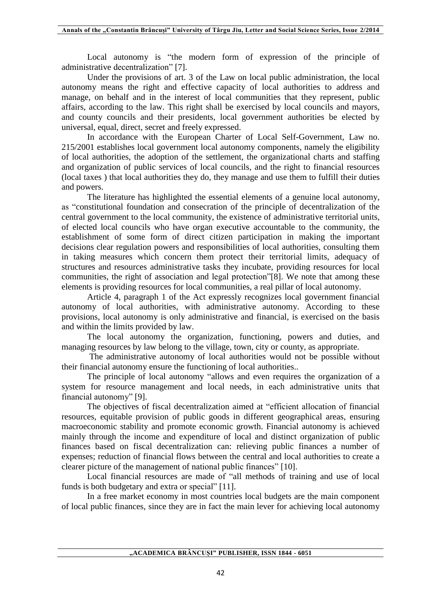Local autonomy is "the modern form of expression of the principle of administrative decentralization" [7].

Under the provisions of art. 3 of the Law on local public administration, the local autonomy means the right and effective capacity of local authorities to address and manage, on behalf and in the interest of local communities that they represent, public affairs, according to the law. This right shall be exercised by local councils and mayors, and county councils and their presidents, local government authorities be elected by universal, equal, direct, secret and freely expressed.

In accordance with the European Charter of Local Self-Government, Law no. 215/2001 establishes local government local autonomy components, namely the eligibility of local authorities, the adoption of the settlement, the organizational charts and staffing and organization of public services of local councils, and the right to financial resources (local taxes ) that local authorities they do, they manage and use them to fulfill their duties and powers.

The literature has highlighted the essential elements of a genuine local autonomy, as "constitutional foundation and consecration of the principle of decentralization of the central government to the local community, the existence of administrative territorial units, of elected local councils who have organ executive accountable to the community, the establishment of some form of direct citizen participation in making the important decisions clear regulation powers and responsibilities of local authorities, consulting them in taking measures which concern them protect their territorial limits, adequacy of structures and resources administrative tasks they incubate, providing resources for local communities, the right of association and legal protection"[8]. We note that among these elements is providing resources for local communities, a real pillar of local autonomy.

Article 4, paragraph 1 of the Act expressly recognizes local government financial autonomy of local authorities, with administrative autonomy. According to these provisions, local autonomy is only administrative and financial, is exercised on the basis and within the limits provided by law.

The local autonomy the organization, functioning, powers and duties, and managing resources by law belong to the village, town, city or county, as appropriate.

The administrative autonomy of local authorities would not be possible without their financial autonomy ensure the functioning of local authorities..

The principle of local autonomy "allows and even requires the organization of a system for resource management and local needs, in each administrative units that financial autonomy" [9].

The objectives of fiscal decentralization aimed at "efficient allocation of financial resources, equitable provision of public goods in different geographical areas, ensuring macroeconomic stability and promote economic growth. Financial autonomy is achieved mainly through the income and expenditure of local and distinct organization of public finances based on fiscal decentralization can: relieving public finances a number of expenses; reduction of financial flows between the central and local authorities to create a clearer picture of the management of national public finances" [10].

Local financial resources are made of "all methods of training and use of local funds is both budgetary and extra or special" [11].

In a free market economy in most countries local budgets are the main component of local public finances, since they are in fact the main lever for achieving local autonomy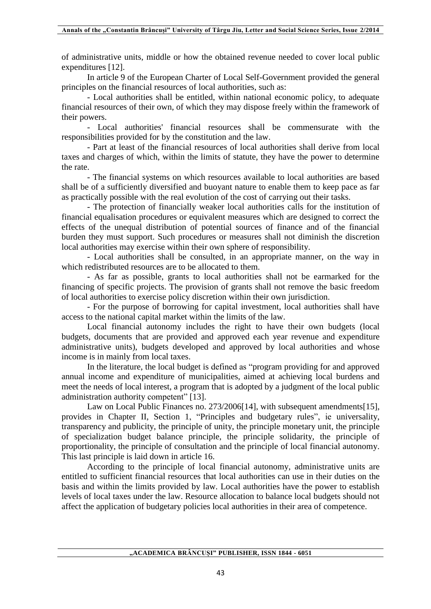of administrative units, middle or how the obtained revenue needed to cover local public expenditures [12].

In article 9 of the European Charter of Local Self-Government provided the general principles on the financial resources of local authorities, such as:

- Local authorities shall be entitled, within national economic policy, to adequate financial resources of their own, of which they may dispose freely within the framework of their powers.

- Local authorities' financial resources shall be commensurate with the responsibilities provided for by the constitution and the law.

- Part at least of the financial resources of local authorities shall derive from local taxes and charges of which, within the limits of statute, they have the power to determine the rate.

- The financial systems on which resources available to local authorities are based shall be of a sufficiently diversified and buoyant nature to enable them to keep pace as far as practically possible with the real evolution of the cost of carrying out their tasks.

- The protection of financially weaker local authorities calls for the institution of financial equalisation procedures or equivalent measures which are designed to correct the effects of the unequal distribution of potential sources of finance and of the financial burden they must support. Such procedures or measures shall not diminish the discretion local authorities may exercise within their own sphere of responsibility.

- Local authorities shall be consulted, in an appropriate manner, on the way in which redistributed resources are to be allocated to them.

- As far as possible, grants to local authorities shall not be earmarked for the financing of specific projects. The provision of grants shall not remove the basic freedom of local authorities to exercise policy discretion within their own jurisdiction.

- For the purpose of borrowing for capital investment, local authorities shall have access to the national capital market within the limits of the law.

Local financial autonomy includes the right to have their own budgets (local budgets, documents that are provided and approved each year revenue and expenditure administrative units), budgets developed and approved by local authorities and whose income is in mainly from local taxes.

In the literature, the local budget is defined as "program providing for and approved annual income and expenditure of municipalities, aimed at achieving local burdens and meet the needs of local interest, a program that is adopted by a judgment of the local public administration authority competent" [13].

Law on Local Public Finances no. 273/2006[14], with subsequent amendments[15], provides in Chapter II, Section 1, "Principles and budgetary rules", ie universality, transparency and publicity, the principle of unity, the principle monetary unit, the principle of specialization budget balance principle, the principle solidarity, the principle of proportionality, the principle of consultation and the principle of local financial autonomy. This last principle is laid down in article 16.

According to the principle of local financial autonomy, administrative units are entitled to sufficient financial resources that local authorities can use in their duties on the basis and within the limits provided by law. Local authorities have the power to establish levels of local taxes under the law. Resource allocation to balance local budgets should not affect the application of budgetary policies local authorities in their area of competence.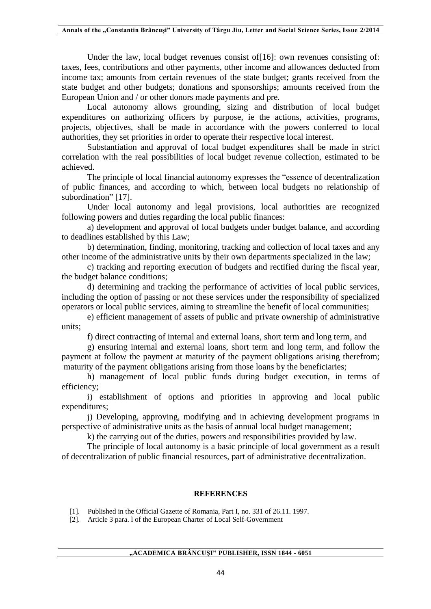Under the law, local budget revenues consist of [16]: own revenues consisting of: taxes, fees, contributions and other payments, other income and allowances deducted from income tax; amounts from certain revenues of the state budget; grants received from the state budget and other budgets; donations and sponsorships; amounts received from the European Union and / or other donors made payments and pre.

Local autonomy allows grounding, sizing and distribution of local budget expenditures on authorizing officers by purpose, ie the actions, activities, programs, projects, objectives, shall be made in accordance with the powers conferred to local authorities, they set priorities in order to operate their respective local interest.

Substantiation and approval of local budget expenditures shall be made in strict correlation with the real possibilities of local budget revenue collection, estimated to be achieved.

The principle of local financial autonomy expresses the "essence of decentralization of public finances, and according to which, between local budgets no relationship of subordination" [17].

Under local autonomy and legal provisions, local authorities are recognized following powers and duties regarding the local public finances:

a) development and approval of local budgets under budget balance, and according to deadlines established by this Law;

b) determination, finding, monitoring, tracking and collection of local taxes and any other income of the administrative units by their own departments specialized in the law;

c) tracking and reporting execution of budgets and rectified during the fiscal year, the budget balance conditions;

d) determining and tracking the performance of activities of local public services, including the option of passing or not these services under the responsibility of specialized operators or local public services, aiming to streamline the benefit of local communities;

e) efficient management of assets of public and private ownership of administrative units;

f) direct contracting of internal and external loans, short term and long term, and

g) ensuring internal and external loans, short term and long term, and follow the payment at follow the payment at maturity of the payment obligations arising therefrom; maturity of the payment obligations arising from those loans by the beneficiaries;

h) management of local public funds during budget execution, in terms of efficiency;

i) establishment of options and priorities in approving and local public expenditures;

j) Developing, approving, modifying and in achieving development programs in perspective of administrative units as the basis of annual local budget management;

k) the carrying out of the duties, powers and responsibilities provided by law.

The principle of local autonomy is a basic principle of local government as a result of decentralization of public financial resources, part of administrative decentralization.

## **REFERENCES**

[1]. Published in the Official Gazette of Romania, Part I, no. 331 of 26.11. 1997.

[2]. Article 3 para. l of the European Charter of Local Self-Government